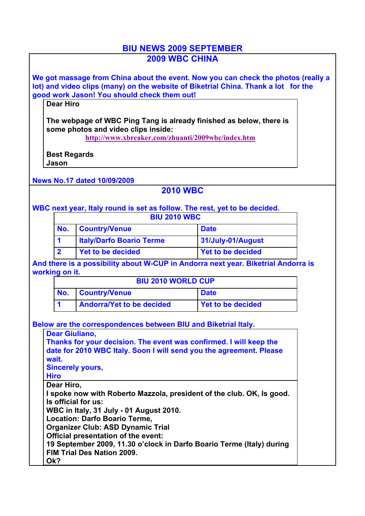## **BIU NEWS 2009 SEPTEMBER 2009 WBC CHINA**

**We got massage from China about the event. Now you can check the photos (really a lot) and video clips (many) on the website of Biketrial China. Thank a lot for the good work Jason! You should check them out!**

**Dear Hiro**

**The webpage of WBC Ping Tang is already finished as below, there is some photos and video clips inside:**

**http://www.xbreaker.com/zhuanti/2009wbc/index.htm**

**Best Regards Jason**

**News No.17 dated 10/09/2009**

## **2010 WBC**

**WBC next year, Italy round is set as follow. The rest, yet to be decided.**

| <b>BIU 2010 WBC</b> |                                 |                          |  |  |  |
|---------------------|---------------------------------|--------------------------|--|--|--|
| No.                 | <b>Country/Venue</b>            | <b>Date</b>              |  |  |  |
|                     | <b>Italy/Darfo Boario Terme</b> | 31/July-01/August        |  |  |  |
|                     | Yet to be decided               | <b>Yet to be decided</b> |  |  |  |

**And there is a possibility about W-CUP in Andorra next year. Biketrial Andorra is working on it.**

| <b>BIU 2010 WORLD CUP</b> |                                                       |             |  |  |  |
|---------------------------|-------------------------------------------------------|-------------|--|--|--|
| No.                       | <b>Country/Venue</b>                                  | <b>Date</b> |  |  |  |
|                           | <b>Andorra/Yet to be decided</b><br>Yet to be decided |             |  |  |  |

**Below are the correspondences between BIU and Biketrial Italy.** 

| <b>Dear Giuliano,</b>                                                 |  |  |  |  |  |
|-----------------------------------------------------------------------|--|--|--|--|--|
| Thanks for your decision. The event was confirmed. I will keep the    |  |  |  |  |  |
| date for 2010 WBC Italy. Soon I will send you the agreement. Please   |  |  |  |  |  |
| wait.                                                                 |  |  |  |  |  |
| <b>Sincerely yours,</b>                                               |  |  |  |  |  |
| <b>Hiro</b>                                                           |  |  |  |  |  |
| Dear Hiro,                                                            |  |  |  |  |  |
| I spoke now with Roberto Mazzola, president of the club. OK, Is good. |  |  |  |  |  |
| Is official for us:                                                   |  |  |  |  |  |
| WBC in Italy, 31 July - 01 August 2010.                               |  |  |  |  |  |
| <b>Location: Darfo Boario Terme,</b>                                  |  |  |  |  |  |
| <b>Organizer Club: ASD Dynamic Trial</b>                              |  |  |  |  |  |
| Official presentation of the event:                                   |  |  |  |  |  |
| 19 September 2009, 11.30 o'clock in Darfo Boario Terme (Italy) during |  |  |  |  |  |
| <b>FIM Trial Des Nation 2009.</b>                                     |  |  |  |  |  |
| Ok?                                                                   |  |  |  |  |  |